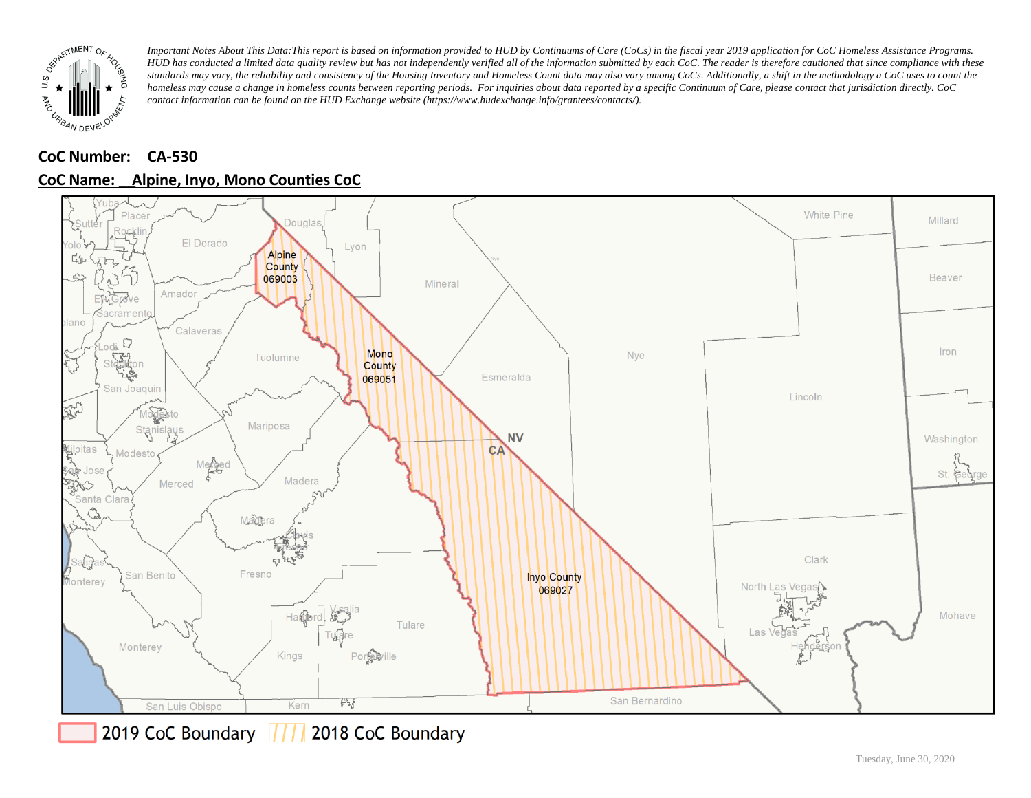

# **CoC Number: CA-530**



## **CoC Name: \_\_ Alpine, Inyo, Mono Counties CoC**

2019 CoC Boundary 777 2018 CoC Boundary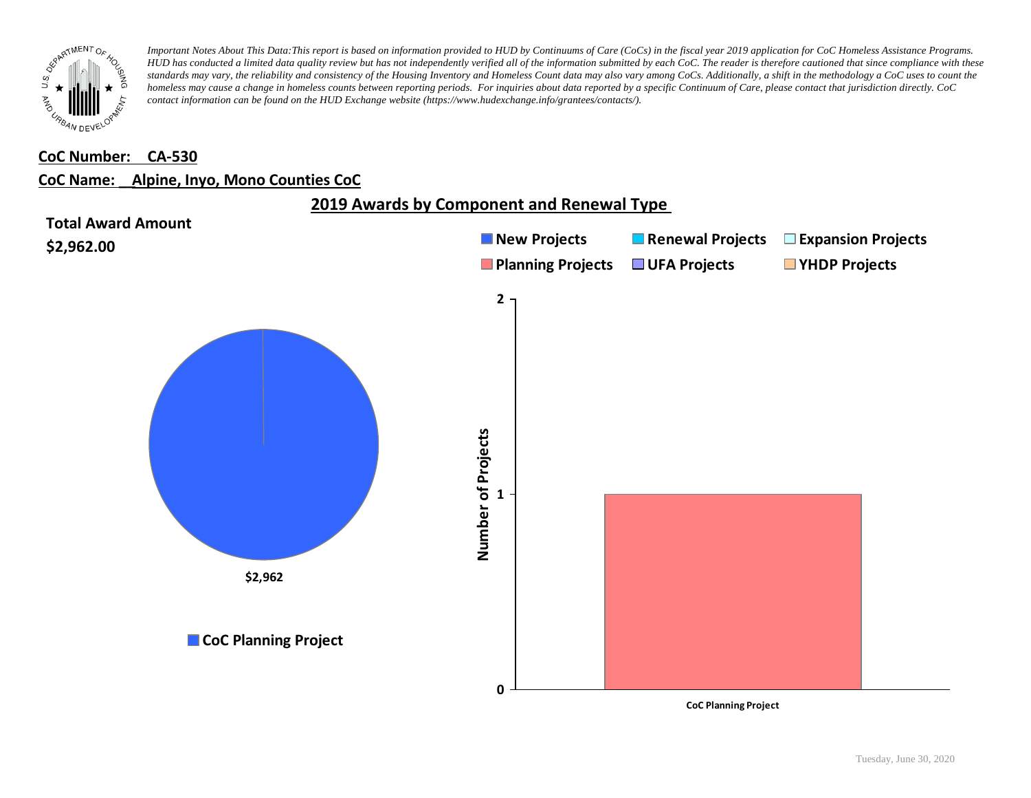![](_page_1_Picture_0.jpeg)

### **CoC Number: CA-530**

#### **CoC Name: \_\_ Alpine, Inyo, Mono Counties CoC**

![](_page_1_Figure_4.jpeg)

**CoC Planning Project**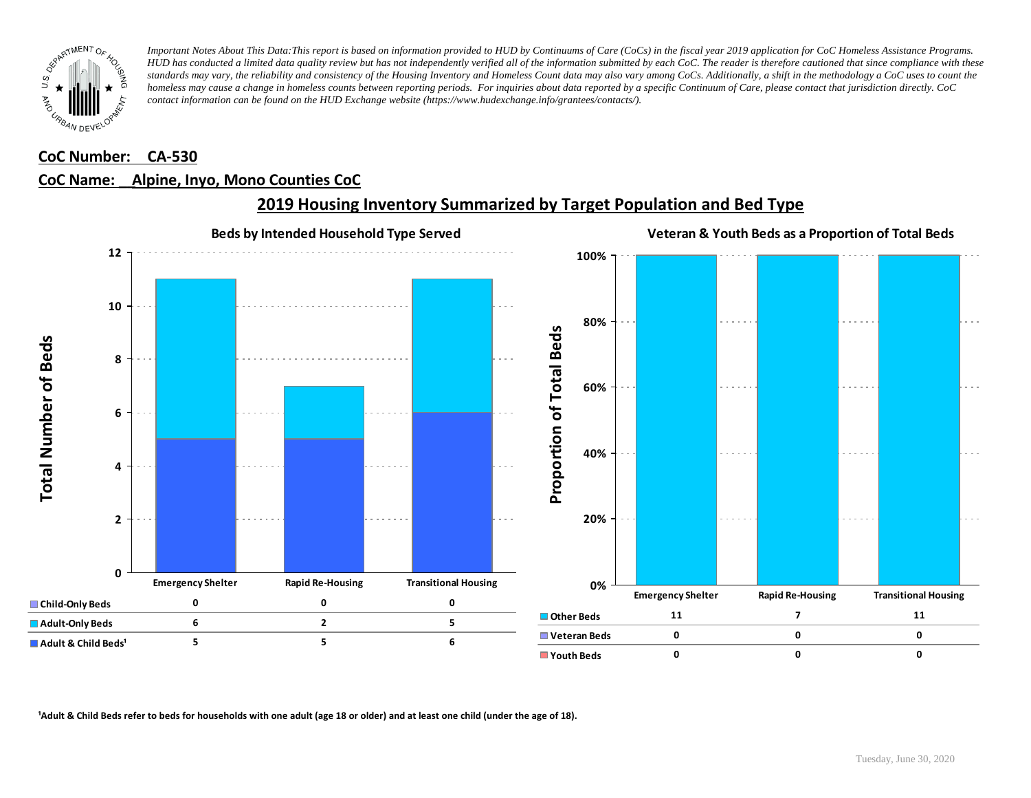![](_page_2_Picture_0.jpeg)

### **CoC Number: CA-530**

## **CoC Name: \_\_ Alpine, Inyo, Mono Counties CoC**

![](_page_2_Figure_4.jpeg)

## **2019 Housing Inventory Summarized by Target Population and Bed Type**

<sup>1</sup> Adult & Child Beds refer to beds for households with one adult (age 18 or older) and at least one child (under the age of 18).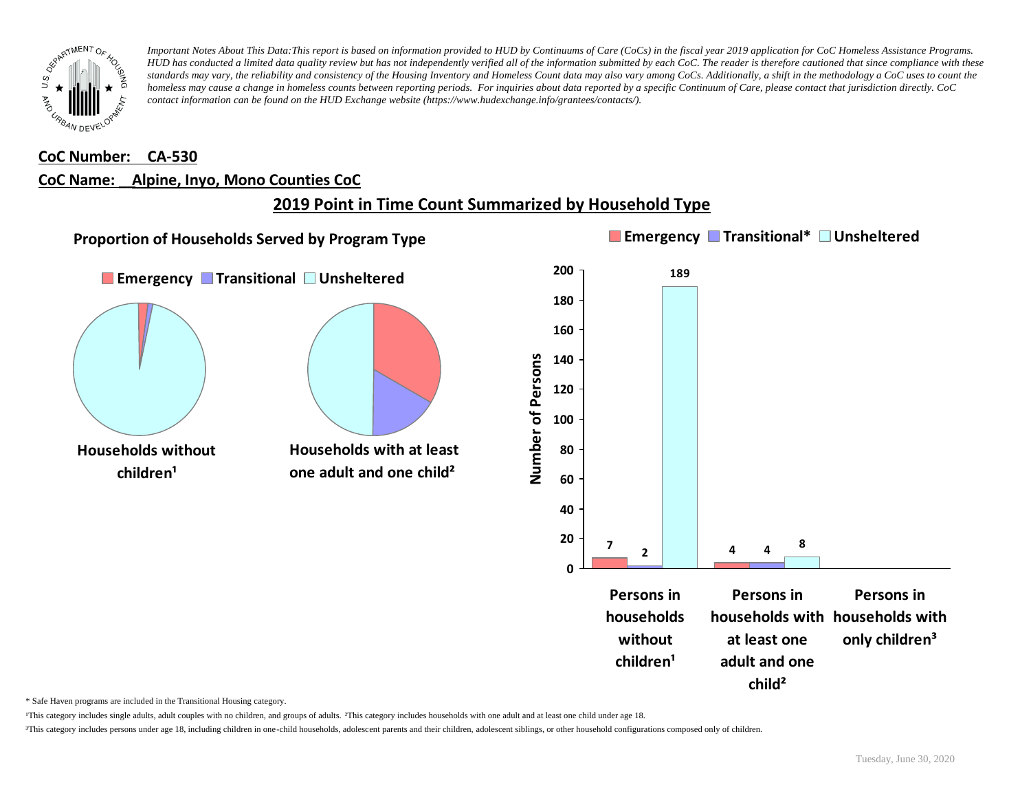![](_page_3_Picture_0.jpeg)

#### **CoC Number: CA-530**

#### **CoC Name: \_\_ Alpine, Inyo, Mono Counties CoC**

# **2019 Point in Time Count Summarized by Household Type**

![](_page_3_Figure_5.jpeg)

\* Safe Haven programs are included in the Transitional Housing category.

¹This category includes single adults, adult couples with no children, and groups of adults. ²This category includes households with one adult and at least one child under age 18.

³This category includes persons under age 18, including children in one-child households, adolescent parents and their children, adolescent siblings, or other household configurations composed only of children.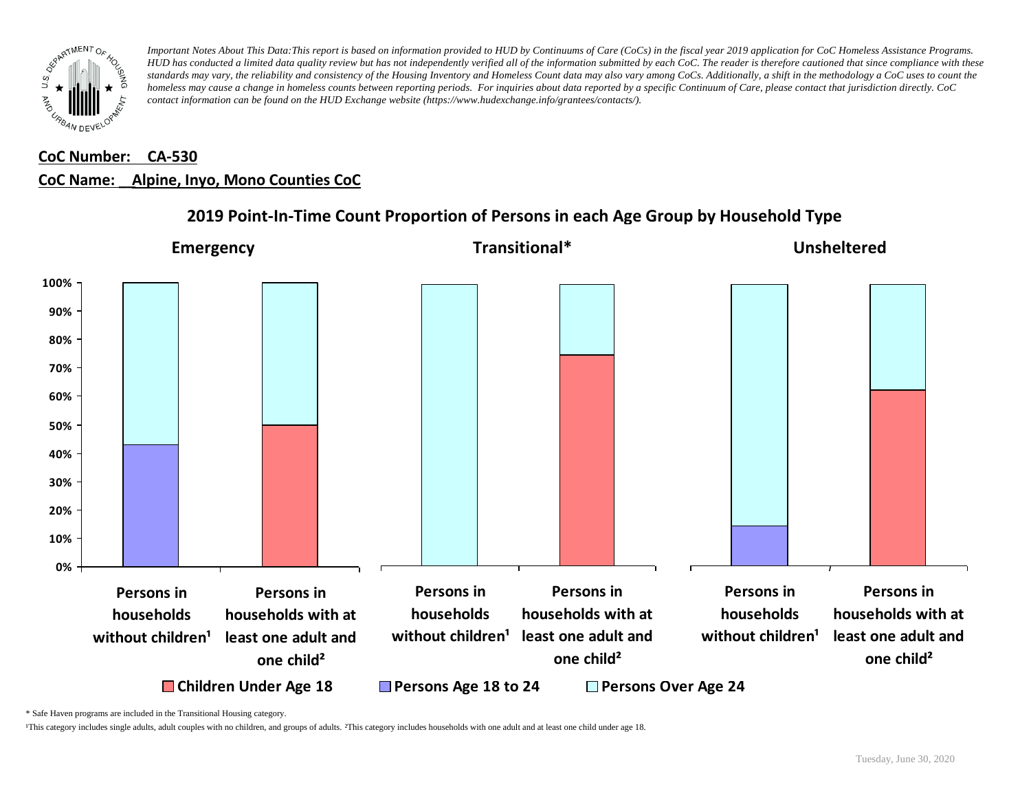![](_page_4_Picture_0.jpeg)

# **CoC Number: CA-530 CoC Name: \_\_ Alpine, Inyo, Mono Counties CoC**

![](_page_4_Figure_3.jpeg)

## **2019 Point-In-Time Count Proportion of Persons in each Age Group by Household Type**

\* Safe Haven programs are included in the Transitional Housing category.

¹This category includes single adults, adult couples with no children, and groups of adults. ²This category includes households with one adult and at least one child under age 18.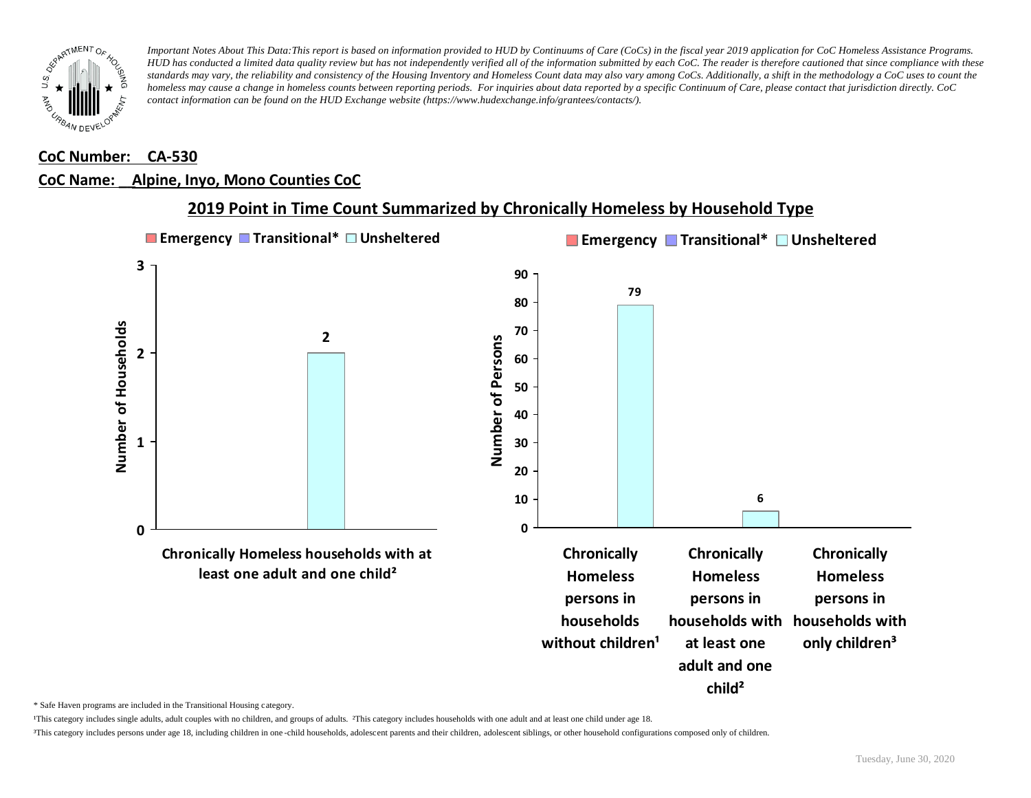![](_page_5_Picture_0.jpeg)

### **CoC Number: CA-530**

### **CoC Name: \_\_ Alpine, Inyo, Mono Counties CoC**

![](_page_5_Figure_4.jpeg)

## **2019 Point in Time Count Summarized by Chronically Homeless by Household Type**

\* Safe Haven programs are included in the Transitional Housing category.

¹This category includes single adults, adult couples with no children, and groups of adults. ²This category includes households with one adult and at least one child under age 18.

³This category includes persons under age 18, including children in one -child households, adolescent parents and their children, adolescent siblings, or other household configurations composed only of children.